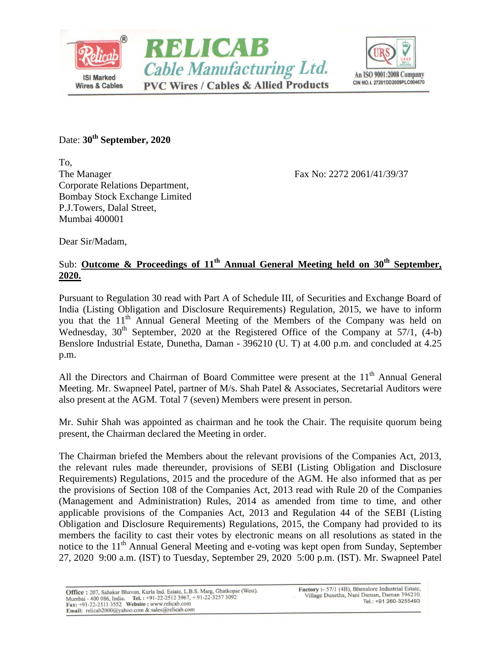



Date: **30th September, 2020**

To, The Manager Fax No: 2272 2061/41/39/37 Corporate Relations Department, Bombay Stock Exchange Limited P.J.Towers, Dalal Street, Mumbai 400001

Dear Sir/Madam,

## Sub: **Outcome & Proceedings of 11 th Annual General Meeting held on 30th September, 2020.**

Pursuant to Regulation 30 read with Part A of Schedule III, of Securities and Exchange Board of India (Listing Obligation and Disclosure Requirements) Regulation, 2015, we have to inform you that the 11<sup>th</sup> Annual General Meeting of the Members of the Company was held on Wednesday,  $30<sup>th</sup>$  September, 2020 at the Registered Office of the Company at 57/1, (4-b) Benslore Industrial Estate, Dunetha, Daman - 396210 (U. T) at 4.00 p.m. and concluded at 4.25 p.m.

All the Directors and Chairman of Board Committee were present at the 11<sup>th</sup> Annual General Meeting. Mr. Swapneel Patel, partner of M/s. Shah Patel & Associates, Secretarial Auditors were also present at the AGM. Total 7 (seven) Members were present in person.

Mr. Suhir Shah was appointed as chairman and he took the Chair. The requisite quorum being present, the Chairman declared the Meeting in order.

The Chairman briefed the Members about the relevant provisions of the Companies Act, 2013, the relevant rules made thereunder, provisions of SEBI (Listing Obligation and Disclosure Requirements) Regulations, 2015 and the procedure of the AGM. He also informed that as per the provisions of Section 108 of the Companies Act, 2013 read with Rule 20 of the Companies (Management and Administration) Rules, 2014 as amended from time to time, and other applicable provisions of the Companies Act, 2013 and Regulation 44 of the SEBI (Listing Obligation and Disclosure Requirements) Regulations, 2015, the Company had provided to its members the facility to cast their votes by electronic means on all resolutions as stated in the notice to the 11<sup>th</sup> Annual General Meeting and e-voting was kept open from Sunday, September 27, 2020 9:00 a.m. (IST) to Tuesday, September 29, 2020 5:00 p.m. (IST). Mr. Swapneel Patel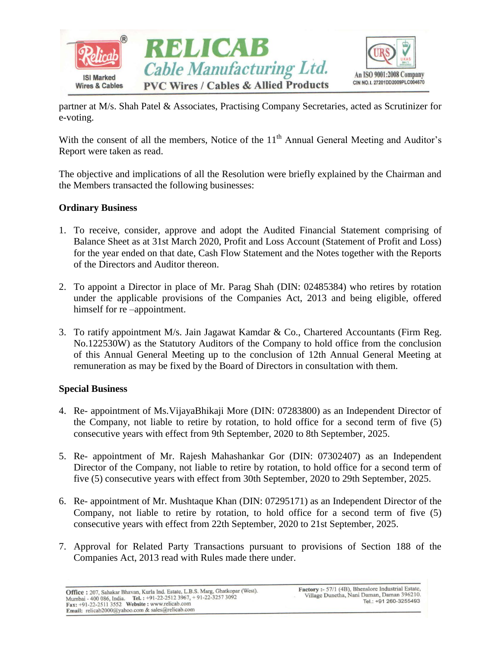

partner at M/s. Shah Patel & Associates, Practising Company Secretaries, acted as Scrutinizer for e-voting.

With the consent of all the members, Notice of the  $11<sup>th</sup>$  Annual General Meeting and Auditor's Report were taken as read.

The objective and implications of all the Resolution were briefly explained by the Chairman and the Members transacted the following businesses:

## **Ordinary Business**

- 1. To receive, consider, approve and adopt the Audited Financial Statement comprising of Balance Sheet as at 31st March 2020, Profit and Loss Account (Statement of Profit and Loss) for the year ended on that date, Cash Flow Statement and the Notes together with the Reports of the Directors and Auditor thereon.
- 2. To appoint a Director in place of Mr. Parag Shah (DIN: 02485384) who retires by rotation under the applicable provisions of the Companies Act, 2013 and being eligible, offered himself for re –appointment.
- 3. To ratify appointment M/s. Jain Jagawat Kamdar & Co., Chartered Accountants (Firm Reg. No.122530W) as the Statutory Auditors of the Company to hold office from the conclusion of this Annual General Meeting up to the conclusion of 12th Annual General Meeting at remuneration as may be fixed by the Board of Directors in consultation with them.

## **Special Business**

- 4. Re- appointment of Ms.VijayaBhikaji More (DIN: 07283800) as an Independent Director of the Company, not liable to retire by rotation, to hold office for a second term of five (5) consecutive years with effect from 9th September, 2020 to 8th September, 2025.
- 5. Re- appointment of Mr. Rajesh Mahashankar Gor (DIN: 07302407) as an Independent Director of the Company, not liable to retire by rotation, to hold office for a second term of five (5) consecutive years with effect from 30th September, 2020 to 29th September, 2025.
- 6. Re- appointment of Mr. Mushtaque Khan (DIN: 07295171) as an Independent Director of the Company, not liable to retire by rotation, to hold office for a second term of five (5) consecutive years with effect from 22th September, 2020 to 21st September, 2025.
- 7. Approval for Related Party Transactions pursuant to provisions of Section 188 of the Companies Act, 2013 read with Rules made there under.